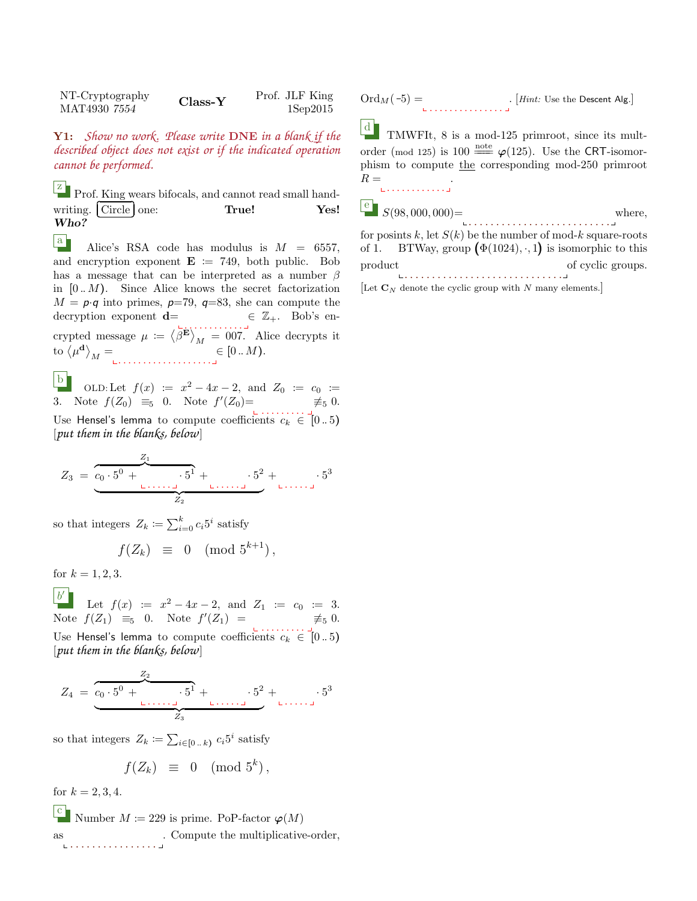| NT-Cryptography<br>$Class-Y$<br>MAT4930 7554 | Prof. JLF King<br>$1$ Sep $2015$ |
|----------------------------------------------|----------------------------------|
|----------------------------------------------|----------------------------------|

Y1: *Show no work. Please write* DNE *in a blank if the described object does not exist or if the indicated operation cannot be performed.*

E Prof. King wears bifocals, and cannot read small handwriting. Circle one: True! Yes! Who?

a Alice's RSA code has modulus is  $M = 6557$ , and encryption exponent  $\mathbf{E} := 749$ , both public. Bob has a message that can be interpreted as a number  $\beta$ in  $[0..M)$ . Since Alice knows the secret factorization  $M = p \cdot q$  into primes,  $p=79$ ,  $q=83$ , she can compute the decryption exponent  $\mathbf{d} = \mathbf{\epsilon} \ \mathbb{Z}_+$ . Bob's encrypted message  $\mu := \langle \beta^{\mathbf{E}} \rangle_M = 007$ . Alice decrypts it to  $\langle \mu^{\mathbf{d}} \rangle_M =$   $\in [0..M)$ .

b OLD:Let  $f(x) := x^2 - 4x - 2$ , and  $Z_0 := c_0 :=$ 3. Note  $f(Z_0) \equiv_5 0$ . Note  $f'(Z_0) = \neq_5 0$ . Use Hensel's lemma to compute coefficients  $c_k \in [0..5]$ [*put them in the blanks, below*]

$$
Z_3 = \underbrace{c_0 \cdot 5^0 + \cdots \cdot 5^1}_{Z_2} + \cdots \cdot 5^2}_{Z_2} + \cdots \cdot 5^3
$$

so that integers  $Z_k \coloneqq \sum_{i=0}^k c_i 5^i$  satisfy

$$
f(Z_k) \equiv 0 \pmod{5^{k+1}},
$$

for  $k = 1, 2, 3$ .

 $b^{\prime}$ Let  $f(x) := x^2 - 4x - 2$ , and  $Z_1 := c_0 := 3$ . Note  $f(Z_1) \equiv_5 0$ . Note  $f'(Z_1) = \neq_5 0$ . Use Hensel's lemma to compute coefficients  $c_k \in [0..5)$ 

[*put them in the blanks, below*]

$$
Z_4 = \underbrace{z_0 \cdot 5^0 + \cdots \cdot 5^1}_{Z_3} + \cdots \cdot 5^2}_{Z_3} + \cdots \cdot 5^3
$$

so that integers  $Z_k \coloneqq \sum_{i \in [0 \dots k)} c_i 5^i$  satisfy

$$
f(Z_k) \equiv 0 \pmod{5^k},
$$

for  $k = 2, 3, 4$ .

 $\begin{bmatrix} c \\ c \end{bmatrix}$ Number  $M \coloneqq 229$  is prime. PoP-factor  $\varphi(M)$ as . . . . . . . . . . . . . . . . . Compute the multiplicative-order,  $\mathrm{Ord}_M(-5)=\qquad \qquad \qquad [Hint: \text{Use the Descent Alg.}]$ 

 $\lfloor d \rfloor$ TMWFIt, 8 is a mod-125 primroot, since its multorder (mod 125) is 100  $\frac{\text{note}}{\sqrt{25}}$   $\varphi(125)$ . Use the CRT-isomorphism to compute the corresponding mod-250 primroot  $R =$ . . . . . . . . . . . <u>.</u> .

 $\begin{array}{c} e \\ s(98,000,000) = \end{array}$ . . . . . . . . . . . . . . . . . . . . . . . . . . where,

for posints k, let  $S(k)$  be the number of mod-k square-roots of 1. BTWay, group  $(\Phi(1024), \cdot, 1)$  is isomorphic to this product . . . . . . . . . . . . . . . . . . . . . . . . . . . . . of cyclic groups.

[Let  $\mathbf{C}_N$  denote the cyclic group with N many elements.]